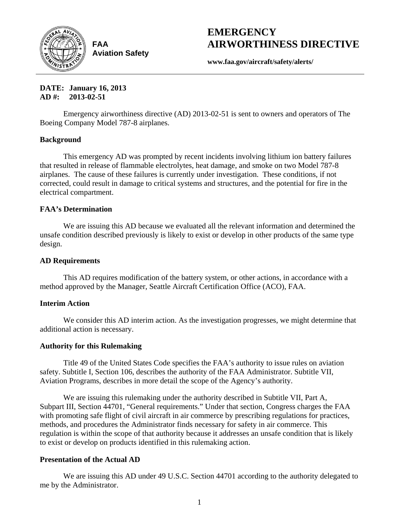

**FAA Aviation Safety**

# **EMERGENCY AIRWORTHINESS DIRECTIVE**

**www.faa.gov/aircraft/safety/alerts/** 

**DATE: January 16, 2013 AD #: 2013-02-51** 

Emergency airworthiness directive (AD) 2013-02-51 is sent to owners and operators of The Boeing Company Model 787-8 airplanes.

#### **Background**

This emergency AD was prompted by recent incidents involving lithium ion battery failures that resulted in release of flammable electrolytes, heat damage, and smoke on two Model 787-8 airplanes. The cause of these failures is currently under investigation. These conditions, if not corrected, could result in damage to critical systems and structures, and the potential for fire in the electrical compartment.

#### **FAA's Determination**

We are issuing this AD because we evaluated all the relevant information and determined the unsafe condition described previously is likely to exist or develop in other products of the same type design.

#### **AD Requirements**

This AD requires modification of the battery system, or other actions, in accordance with a method approved by the Manager, Seattle Aircraft Certification Office (ACO), FAA.

#### **Interim Action**

We consider this AD interim action. As the investigation progresses, we might determine that additional action is necessary.

#### **Authority for this Rulemaking**

Title 49 of the United States Code specifies the FAA's authority to issue rules on aviation safety. Subtitle I, Section 106, describes the authority of the FAA Administrator. Subtitle VII, Aviation Programs, describes in more detail the scope of the Agency's authority.

We are issuing this rulemaking under the authority described in Subtitle VII, Part A, Subpart III, Section 44701, "General requirements." Under that section, Congress charges the FAA with promoting safe flight of civil aircraft in air commerce by prescribing regulations for practices, methods, and procedures the Administrator finds necessary for safety in air commerce. This regulation is within the scope of that authority because it addresses an unsafe condition that is likely to exist or develop on products identified in this rulemaking action.

#### **Presentation of the Actual AD**

We are issuing this AD under 49 U.S.C. Section 44701 according to the authority delegated to me by the Administrator.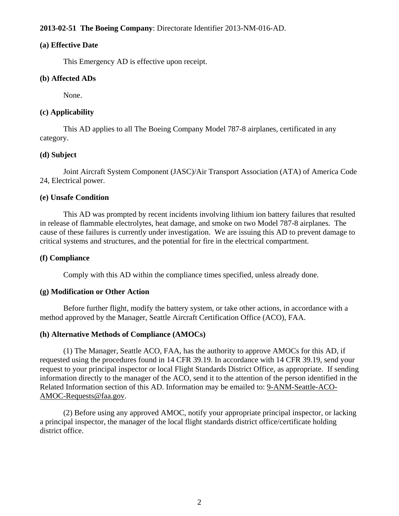## **2013-02-51 The Boeing Company**: Directorate Identifier 2013-NM-016-AD.

#### **(a) Effective Date**

This Emergency AD is effective upon receipt.

#### **(b) Affected ADs**

None.

### **(c) Applicability**

This AD applies to all The Boeing Company Model 787-8 airplanes, certificated in any category.

#### **(d) Subject**

Joint Aircraft System Component (JASC)/Air Transport Association (ATA) of America Code 24, Electrical power.

#### **(e) Unsafe Condition**

This AD was prompted by recent incidents involving lithium ion battery failures that resulted in release of flammable electrolytes, heat damage, and smoke on two Model 787-8 airplanes. The cause of these failures is currently under investigation. We are issuing this AD to prevent damage to critical systems and structures, and the potential for fire in the electrical compartment.

#### **(f) Compliance**

Comply with this AD within the compliance times specified, unless already done.

#### **(g) Modification or Other Action**

Before further flight, modify the battery system, or take other actions, in accordance with a method approved by the Manager, Seattle Aircraft Certification Office (ACO), FAA.

#### **(h) Alternative Methods of Compliance (AMOCs)**

(1) The Manager, Seattle ACO, FAA, has the authority to approve AMOCs for this AD, if requested using the procedures found in 14 CFR 39.19. In accordance with 14 CFR 39.19, send your request to your principal inspector or local Flight Standards District Office, as appropriate. If sending information directly to the manager of the ACO, send it to the attention of the person identified in the Related Information section of this AD. Information may be emailed to: 9-ANM-Seattle-ACO-AMOC-Requests@faa.gov.

(2) Before using any approved AMOC, notify your appropriate principal inspector, or lacking a principal inspector, the manager of the local flight standards district office/certificate holding district office.